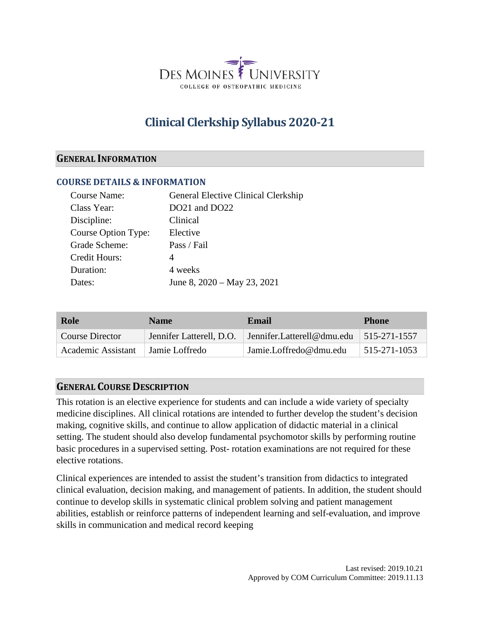

# **Clinical Clerkship Syllabus 2020-21**

#### **GENERAL INFORMATION**

#### **COURSE DETAILS & INFORMATION**

| General Elective Clinical Clerkship |
|-------------------------------------|
| DO21 and DO22                       |
| Clinical                            |
| Elective                            |
| Pass / Fail                         |
| 4                                   |
| 4 weeks                             |
| June 8, 2020 – May 23, 2021         |
|                                     |

| Role               | <b>Name</b>              | Email                                                    | <b>Phone</b>               |
|--------------------|--------------------------|----------------------------------------------------------|----------------------------|
| Course Director    | Jennifer Latterell, D.O. | $\vert$ Jennifer. Latterell@dmu.edu $\vert$ 515-271-1557 |                            |
| Academic Assistant | Jamie Loffredo           | Jamie.Loffredo@dmu.edu                                   | $\frac{1}{5}$ 515-271-1053 |

#### **GENERAL COURSE DESCRIPTION**

This rotation is an elective experience for students and can include a wide variety of specialty medicine disciplines. All clinical rotations are intended to further develop the student's decision making, cognitive skills, and continue to allow application of didactic material in a clinical setting. The student should also develop fundamental psychomotor skills by performing routine basic procedures in a supervised setting. Post- rotation examinations are not required for these elective rotations.

Clinical experiences are intended to assist the student's transition from didactics to integrated clinical evaluation, decision making, and management of patients. In addition, the student should continue to develop skills in systematic clinical problem solving and patient management abilities, establish or reinforce patterns of independent learning and self-evaluation, and improve skills in communication and medical record keeping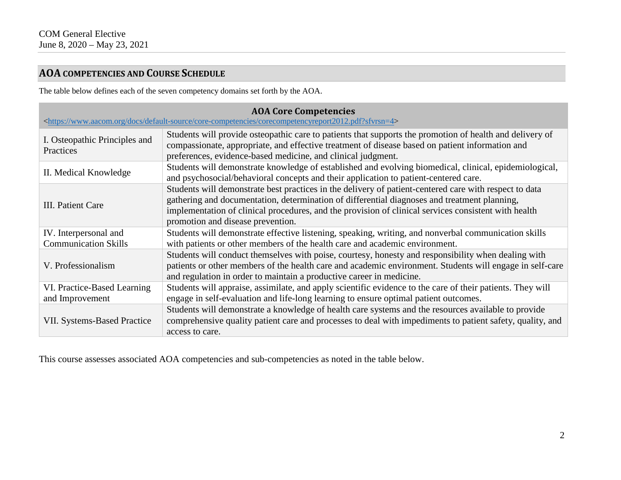# **AOA COMPETENCIES AND COURSE SCHEDULE**

The table below defines each of the seven competency domains set forth by the AOA.

| <b>AOA Core Competencies</b><br><https: core-competencies="" corecompetencyreport2012.pdf?sfvrsn="4" default-source="" docs="" www.aacom.org=""></https:> |                                                                                                                                                                                                                                                                                                                                                     |  |  |  |
|-----------------------------------------------------------------------------------------------------------------------------------------------------------|-----------------------------------------------------------------------------------------------------------------------------------------------------------------------------------------------------------------------------------------------------------------------------------------------------------------------------------------------------|--|--|--|
| I. Osteopathic Principles and<br>Practices                                                                                                                | Students will provide osteopathic care to patients that supports the promotion of health and delivery of<br>compassionate, appropriate, and effective treatment of disease based on patient information and<br>preferences, evidence-based medicine, and clinical judgment.                                                                         |  |  |  |
| II. Medical Knowledge                                                                                                                                     | Students will demonstrate knowledge of established and evolving biomedical, clinical, epidemiological,<br>and psychosocial/behavioral concepts and their application to patient-centered care.                                                                                                                                                      |  |  |  |
| III. Patient Care                                                                                                                                         | Students will demonstrate best practices in the delivery of patient-centered care with respect to data<br>gathering and documentation, determination of differential diagnoses and treatment planning,<br>implementation of clinical procedures, and the provision of clinical services consistent with health<br>promotion and disease prevention. |  |  |  |
| IV. Interpersonal and<br><b>Communication Skills</b>                                                                                                      | Students will demonstrate effective listening, speaking, writing, and nonverbal communication skills<br>with patients or other members of the health care and academic environment.                                                                                                                                                                 |  |  |  |
| V. Professionalism                                                                                                                                        | Students will conduct themselves with poise, courtesy, honesty and responsibility when dealing with<br>patients or other members of the health care and academic environment. Students will engage in self-care<br>and regulation in order to maintain a productive career in medicine.                                                             |  |  |  |
| VI. Practice-Based Learning<br>and Improvement                                                                                                            | Students will appraise, assimilate, and apply scientific evidence to the care of their patients. They will<br>engage in self-evaluation and life-long learning to ensure optimal patient outcomes.                                                                                                                                                  |  |  |  |
| <b>VII. Systems-Based Practice</b>                                                                                                                        | Students will demonstrate a knowledge of health care systems and the resources available to provide<br>comprehensive quality patient care and processes to deal with impediments to patient safety, quality, and<br>access to care.                                                                                                                 |  |  |  |

This course assesses associated AOA competencies and sub-competencies as noted in the table below.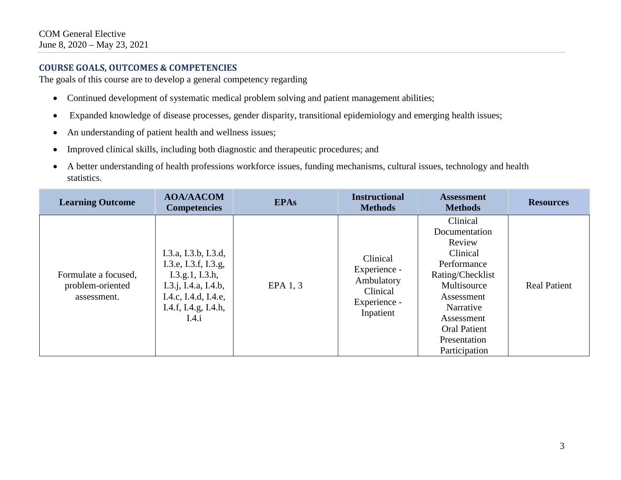## **COURSE GOALS, OUTCOMES & COMPETENCIES**

The goals of this course are to develop a general competency regarding

- Continued development of systematic medical problem solving and patient management abilities;
- Expanded knowledge of disease processes, gender disparity, transitional epidemiology and emerging health issues;
- An understanding of patient health and wellness issues;
- Improved clinical skills, including both diagnostic and therapeutic procedures; and
- A better understanding of health professions workforce issues, funding mechanisms, cultural issues, technology and health statistics.

| <b>Learning Outcome</b>                                 | <b>AOA/AACOM</b><br><b>Competencies</b>                                                                                                          | <b>EPAs</b> | <b>Instructional</b><br><b>Methods</b>                                          | <b>Assessment</b><br><b>Methods</b>                                                                                                                                                                | <b>Resources</b>    |
|---------------------------------------------------------|--------------------------------------------------------------------------------------------------------------------------------------------------|-------------|---------------------------------------------------------------------------------|----------------------------------------------------------------------------------------------------------------------------------------------------------------------------------------------------|---------------------|
| Formulate a focused,<br>problem-oriented<br>assessment. | I.3.a, I.3.b, I.3.d,<br>I.3.e, I.3.f, I.3.g,<br>I.3.g.1, I.3.h,<br>I.3.j, I.4.a, I.4.b,<br>I.4.c, I.4.d, I.4.e,<br>I.4.f, I.4.g, I.4.h,<br>I.4.i | EPA 1, 3    | Clinical<br>Experience -<br>Ambulatory<br>Clinical<br>Experience -<br>Inpatient | Clinical<br>Documentation<br>Review<br>Clinical<br>Performance<br>Rating/Checklist<br>Multisource<br>Assessment<br>Narrative<br>Assessment<br><b>Oral Patient</b><br>Presentation<br>Participation | <b>Real Patient</b> |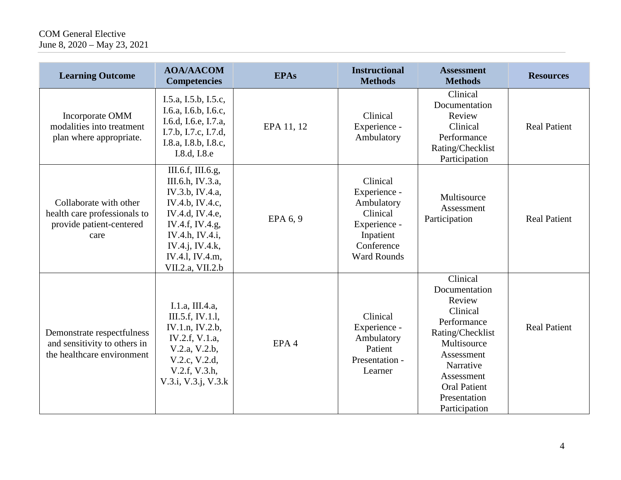# COM General Elective June 8, 2020 – May 23, 2021

| <b>Learning Outcome</b>                                                                    | <b>AOA/AACOM</b><br><b>Competencies</b>                                                                                                                                                        | <b>EPAs</b>      | <b>Instructional</b><br><b>Methods</b>                                                                              | <b>Assessment</b><br><b>Methods</b>                                                                                                                                                                | <b>Resources</b>    |
|--------------------------------------------------------------------------------------------|------------------------------------------------------------------------------------------------------------------------------------------------------------------------------------------------|------------------|---------------------------------------------------------------------------------------------------------------------|----------------------------------------------------------------------------------------------------------------------------------------------------------------------------------------------------|---------------------|
| Incorporate OMM<br>modalities into treatment<br>plan where appropriate.                    | I.5.a, I.5.b, I.5.c,<br>I.6.a, I.6.b, I.6.c,<br>I.6.d, I.6.e, I.7.a,<br>I.7.b, I.7.c, I.7.d,<br>I.8.a, I.8.b, I.8.c,<br>I.8.d, I.8.e                                                           | EPA 11, 12       | Clinical<br>Experience -<br>Ambulatory                                                                              | Clinical<br>Documentation<br>Review<br>Clinical<br>Performance<br>Rating/Checklist<br>Participation                                                                                                | <b>Real Patient</b> |
| Collaborate with other<br>health care professionals to<br>provide patient-centered<br>care | III.6.f, III.6.g,<br>III.6.h, IV.3.a,<br>IV.3.b, IV.4.a,<br>IV.4.b, IV.4.c,<br>IV.4.d, IV.4.e,<br>IV.4.f, IV.4.g,<br>IV.4.h, IV.4.i,<br>IV.4.j, IV.4.k,<br>IV.4.1, IV.4.m,<br>VII.2.a, VII.2.b | EPA 6, 9         | Clinical<br>Experience -<br>Ambulatory<br>Clinical<br>Experience -<br>Inpatient<br>Conference<br><b>Ward Rounds</b> | Multisource<br>Assessment<br>Participation                                                                                                                                                         | <b>Real Patient</b> |
| Demonstrate respectfulness<br>and sensitivity to others in<br>the healthcare environment   | I.1.a, III.4.a,<br>III.5.f, IV.1.l,<br>IV.1.n, IV.2.b,<br>IV.2.f, V.1.a,<br>V.2.a, V.2.b,<br>V.2.c, V.2.d,<br>V.2.f, V.3.h,<br>V.3.i, V.3.j, V.3.k                                             | EPA <sub>4</sub> | Clinical<br>Experience -<br>Ambulatory<br>Patient<br>Presentation -<br>Learner                                      | Clinical<br>Documentation<br>Review<br>Clinical<br>Performance<br>Rating/Checklist<br>Multisource<br>Assessment<br>Narrative<br>Assessment<br><b>Oral Patient</b><br>Presentation<br>Participation | <b>Real Patient</b> |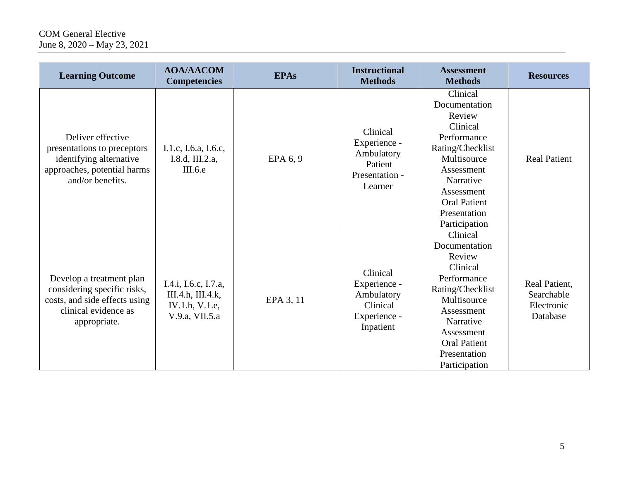# COM General Elective June 8, 2020 – May 23, 2021

| <b>Learning Outcome</b>                                                                                                          | <b>AOA/AACOM</b><br><b>Competencies</b>                                       | <b>EPAs</b> | <b>Instructional</b><br><b>Methods</b>                                          | <b>Assessment</b><br><b>Methods</b>                                                                                                                                                                | <b>Resources</b>                                      |
|----------------------------------------------------------------------------------------------------------------------------------|-------------------------------------------------------------------------------|-------------|---------------------------------------------------------------------------------|----------------------------------------------------------------------------------------------------------------------------------------------------------------------------------------------------|-------------------------------------------------------|
| Deliver effective<br>presentations to preceptors<br>identifying alternative<br>approaches, potential harms<br>and/or benefits.   | I.1.c, I.6.a, I.6.c,<br>I.8.d, III.2.a,<br>III.6.e                            | EPA $6, 9$  | Clinical<br>Experience -<br>Ambulatory<br>Patient<br>Presentation -<br>Learner  | Clinical<br>Documentation<br>Review<br>Clinical<br>Performance<br>Rating/Checklist<br>Multisource<br>Assessment<br>Narrative<br>Assessment<br><b>Oral Patient</b><br>Presentation<br>Participation | <b>Real Patient</b>                                   |
| Develop a treatment plan<br>considering specific risks,<br>costs, and side effects using<br>clinical evidence as<br>appropriate. | I.4.i, I.6.c, I.7.a,<br>III.4.h, III.4.k,<br>IV.1.h, V.1.e,<br>V.9.a, VII.5.a | EPA 3, 11   | Clinical<br>Experience -<br>Ambulatory<br>Clinical<br>Experience -<br>Inpatient | Clinical<br>Documentation<br>Review<br>Clinical<br>Performance<br>Rating/Checklist<br>Multisource<br>Assessment<br>Narrative<br>Assessment<br><b>Oral Patient</b><br>Presentation<br>Participation | Real Patient,<br>Searchable<br>Electronic<br>Database |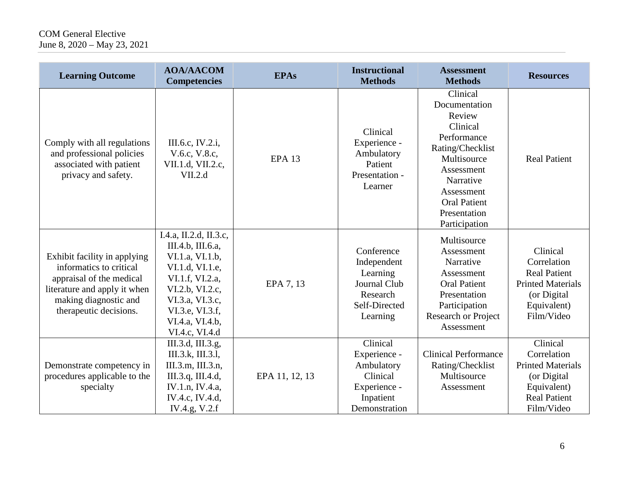# COM General Elective June 8, 2020 – May 23, 2021

| <b>Learning Outcome</b>                                                                                                                                                | <b>AOA/AACOM</b><br><b>Competencies</b>                                                                                                                                                            | <b>EPAs</b>    | <b>Instructional</b><br><b>Methods</b>                                                           | <b>Assessment</b><br><b>Methods</b>                                                                                                                                                                | <b>Resources</b>                                                                                                        |
|------------------------------------------------------------------------------------------------------------------------------------------------------------------------|----------------------------------------------------------------------------------------------------------------------------------------------------------------------------------------------------|----------------|--------------------------------------------------------------------------------------------------|----------------------------------------------------------------------------------------------------------------------------------------------------------------------------------------------------|-------------------------------------------------------------------------------------------------------------------------|
| Comply with all regulations<br>and professional policies<br>associated with patient<br>privacy and safety.                                                             | III.6.c, IV.2.i,<br>V.6.c, V.8.c,<br>VII.1.d, VII.2.c,<br>VII.2.d                                                                                                                                  | <b>EPA 13</b>  | Clinical<br>Experience -<br>Ambulatory<br>Patient<br>Presentation -<br>Learner                   | Clinical<br>Documentation<br>Review<br>Clinical<br>Performance<br>Rating/Checklist<br>Multisource<br>Assessment<br>Narrative<br>Assessment<br><b>Oral Patient</b><br>Presentation<br>Participation | <b>Real Patient</b>                                                                                                     |
| Exhibit facility in applying<br>informatics to critical<br>appraisal of the medical<br>literature and apply it when<br>making diagnostic and<br>therapeutic decisions. | I.4.a, II.2.d, II.3.c,<br>III.4.b, III.6.a,<br>VI.1.a, VI.1.b,<br>VI.1.d, VI.1.e,<br>VI.1.f, VI.2.a,<br>VI.2.b, VI.2.c,<br>VI.3.a, VI.3.c,<br>VI.3.e, VI.3.f,<br>VI.4.a, VI.4.b,<br>VI.4.c, VI.4.d | EPA 7, 13      | Conference<br>Independent<br>Learning<br>Journal Club<br>Research<br>Self-Directed<br>Learning   | Multisource<br>Assessment<br>Narrative<br>Assessment<br><b>Oral Patient</b><br>Presentation<br>Participation<br><b>Research or Project</b><br>Assessment                                           | Clinical<br>Correlation<br><b>Real Patient</b><br><b>Printed Materials</b><br>(or Digital<br>Equivalent)<br>Film/Video  |
| Demonstrate competency in<br>procedures applicable to the<br>specialty                                                                                                 | III.3.d, III.3.g,<br>III.3.k, III.3.l,<br>III.3.m, III.3.n,<br>III.3.q, III.4.d,<br>IV.1.n, IV.4.a,<br>IV.4.c, IV.4.d,<br>IV.4.g, V.2.f                                                            | EPA 11, 12, 13 | Clinical<br>Experience -<br>Ambulatory<br>Clinical<br>Experience -<br>Inpatient<br>Demonstration | <b>Clinical Performance</b><br>Rating/Checklist<br>Multisource<br>Assessment                                                                                                                       | Clinical<br>Correlation<br><b>Printed Materials</b><br>(or Digital)<br>Equivalent)<br><b>Real Patient</b><br>Film/Video |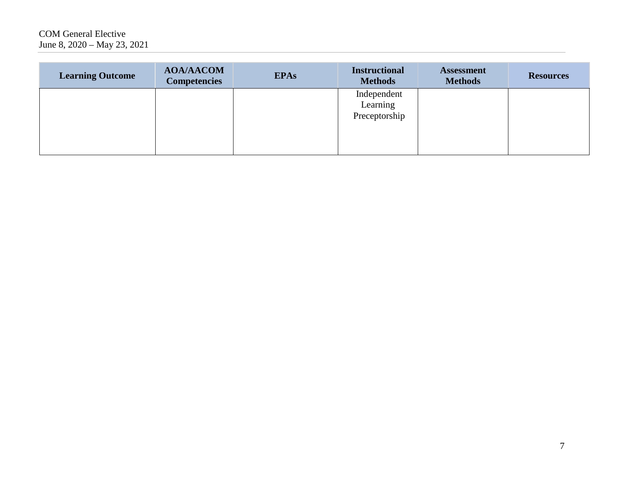| <b>Learning Outcome</b> | <b>AOA/AACOM</b><br><b>Competencies</b> | <b>EPAs</b> | <b>Instructional</b><br><b>Methods</b> | <b>Assessment</b><br><b>Methods</b> | <b>Resources</b> |
|-------------------------|-----------------------------------------|-------------|----------------------------------------|-------------------------------------|------------------|
|                         |                                         |             | Independent<br>Learning                |                                     |                  |
|                         |                                         |             | Preceptorship                          |                                     |                  |
|                         |                                         |             |                                        |                                     |                  |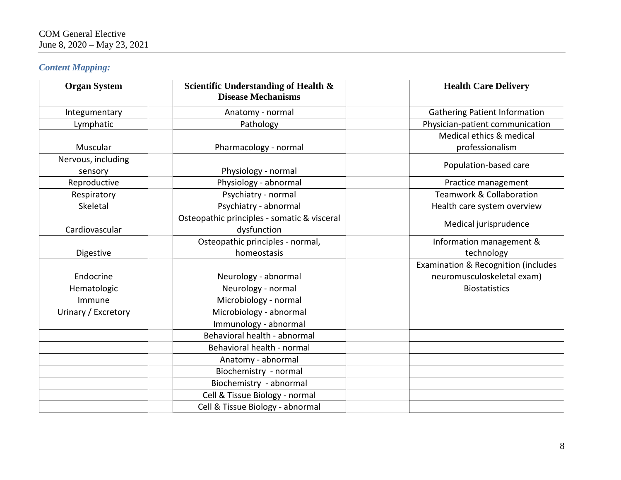# *Content Mapping:*

| <b>Organ System</b> | Scientific Understanding of Health &<br><b>Disease Mechanisms</b> | <b>Health Care Delivery</b>          |
|---------------------|-------------------------------------------------------------------|--------------------------------------|
| Integumentary       | Anatomy - normal                                                  | <b>Gathering Patient Information</b> |
| Lymphatic           | Pathology                                                         | Physician-patient communication      |
|                     |                                                                   | Medical ethics & medical             |
| Muscular            | Pharmacology - normal                                             | professionalism                      |
| Nervous, including  |                                                                   | Population-based care                |
| sensory             | Physiology - normal                                               |                                      |
| Reproductive        | Physiology - abnormal                                             | Practice management                  |
| Respiratory         | Psychiatry - normal                                               | <b>Teamwork &amp; Collaboration</b>  |
| Skeletal            | Psychiatry - abnormal                                             | Health care system overview          |
| Cardiovascular      | Osteopathic principles - somatic & visceral<br>dysfunction        | Medical jurisprudence                |
|                     | Osteopathic principles - normal,                                  | Information management &             |
| Digestive           | homeostasis                                                       | technology                           |
|                     |                                                                   | Examination & Recognition (includes  |
| Endocrine           | Neurology - abnormal                                              | neuromusculoskeletal exam)           |
| Hematologic         | Neurology - normal                                                | <b>Biostatistics</b>                 |
| Immune              | Microbiology - normal                                             |                                      |
| Urinary / Excretory | Microbiology - abnormal                                           |                                      |
|                     | Immunology - abnormal                                             |                                      |
|                     | Behavioral health - abnormal                                      |                                      |
|                     | Behavioral health - normal                                        |                                      |
|                     | Anatomy - abnormal                                                |                                      |
|                     | Biochemistry - normal                                             |                                      |
|                     | Biochemistry - abnormal                                           |                                      |
|                     | Cell & Tissue Biology - normal                                    |                                      |
|                     | Cell & Tissue Biology - abnormal                                  |                                      |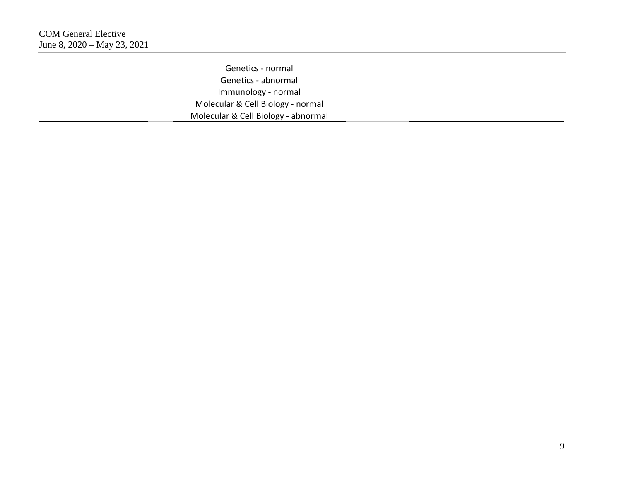| Genetics - normal                   |  |
|-------------------------------------|--|
| Genetics - abnormal                 |  |
| Immunology - normal                 |  |
| Molecular & Cell Biology - normal   |  |
| Molecular & Cell Biology - abnormal |  |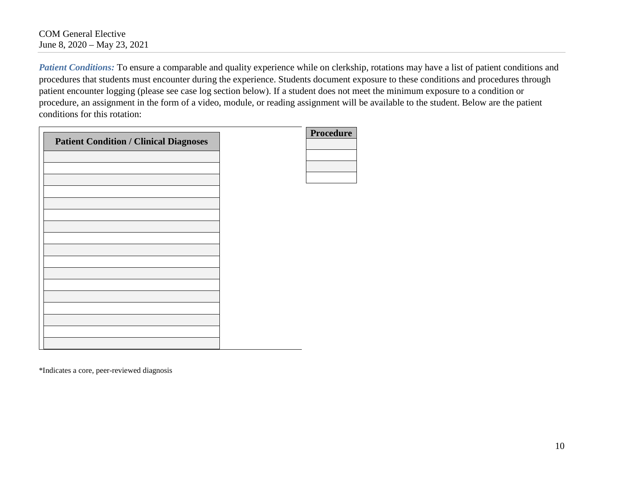*Patient Conditions:* To ensure a comparable and quality experience while on clerkship, rotations may have a list of patient conditions and procedures that students must encounter during the experience. Students document exposure to these conditions and procedures through patient encounter logging (please see case log section below). If a student does not meet the minimum exposure to a condition or procedure, an assignment in the form of a video, module, or reading assignment will be available to the student. Below are the patient conditions for this rotation:

|                                               | <b>Procedure</b> |
|-----------------------------------------------|------------------|
| <b>Patient Condition / Clinical Diagnoses</b> |                  |
|                                               |                  |
|                                               |                  |
|                                               |                  |
|                                               |                  |
|                                               |                  |
|                                               |                  |
|                                               |                  |
|                                               |                  |
|                                               |                  |
|                                               |                  |
|                                               |                  |
|                                               |                  |
|                                               |                  |
|                                               |                  |
|                                               |                  |
|                                               |                  |
|                                               |                  |
|                                               |                  |
|                                               |                  |

\*Indicates a core, peer-reviewed diagnosis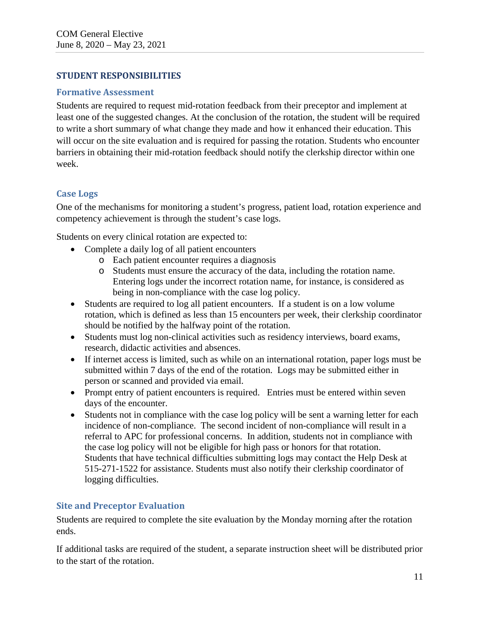### **STUDENT RESPONSIBILITIES**

#### **Formative Assessment**

Students are required to request mid-rotation feedback from their preceptor and implement at least one of the suggested changes. At the conclusion of the rotation, the student will be required to write a short summary of what change they made and how it enhanced their education. This will occur on the site evaluation and is required for passing the rotation. Students who encounter barriers in obtaining their mid-rotation feedback should notify the clerkship director within one week.

## **Case Logs**

One of the mechanisms for monitoring a student's progress, patient load, rotation experience and competency achievement is through the student's case logs.

Students on every clinical rotation are expected to:

- Complete a daily log of all patient encounters
	- o Each patient encounter requires a diagnosis
	- o Students must ensure the accuracy of the data, including the rotation name. Entering logs under the incorrect rotation name, for instance, is considered as being in non-compliance with the case log policy.
- Students are required to log all patient encounters. If a student is on a low volume rotation, which is defined as less than 15 encounters per week, their clerkship coordinator should be notified by the halfway point of the rotation.
- Students must log non-clinical activities such as residency interviews, board exams, research, didactic activities and absences.
- If internet access is limited, such as while on an international rotation, paper logs must be submitted within 7 days of the end of the rotation. Logs may be submitted either in person or scanned and provided via email.
- Prompt entry of patient encounters is required. Entries must be entered within seven days of the encounter.
- Students not in compliance with the case log policy will be sent a warning letter for each incidence of non-compliance. The second incident of non-compliance will result in a referral to APC for professional concerns. In addition, students not in compliance with the case log policy will not be eligible for high pass or honors for that rotation. Students that have technical difficulties submitting logs may contact the Help Desk at 515-271-1522 for assistance. Students must also notify their clerkship coordinator of logging difficulties.

# **Site and Preceptor Evaluation**

Students are required to complete the site evaluation by the Monday morning after the rotation ends.

If additional tasks are required of the student, a separate instruction sheet will be distributed prior to the start of the rotation.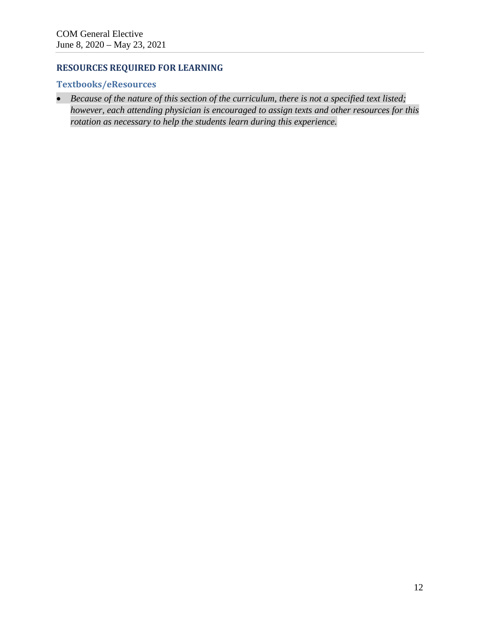# **RESOURCES REQUIRED FOR LEARNING**

# **Textbooks/eResources**

• *Because of the nature of this section of the curriculum, there is not a specified text listed; however, each attending physician is encouraged to assign texts and other resources for this rotation as necessary to help the students learn during this experience.*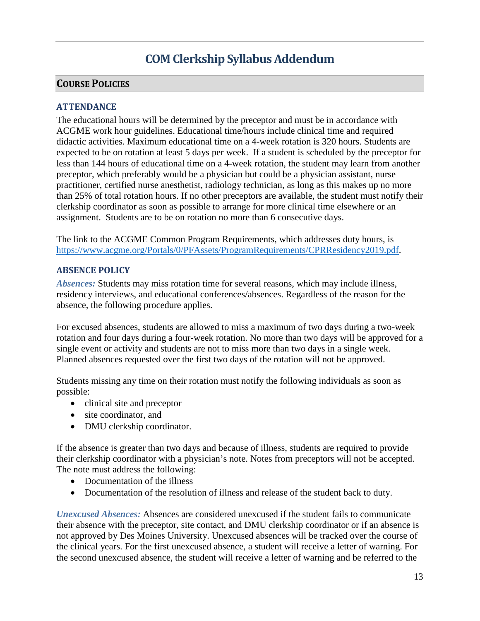# **COM Clerkship Syllabus Addendum**

# **COURSE POLICIES**

### **ATTENDANCE**

The educational hours will be determined by the preceptor and must be in accordance with ACGME work hour guidelines. Educational time/hours include clinical time and required didactic activities. Maximum educational time on a 4-week rotation is 320 hours. Students are expected to be on rotation at least 5 days per week. If a student is scheduled by the preceptor for less than 144 hours of educational time on a 4-week rotation, the student may learn from another preceptor, which preferably would be a physician but could be a physician assistant, nurse practitioner, certified nurse anesthetist, radiology technician, as long as this makes up no more than 25% of total rotation hours. If no other preceptors are available, the student must notify their clerkship coordinator as soon as possible to arrange for more clinical time elsewhere or an assignment. Students are to be on rotation no more than 6 consecutive days.

The link to the ACGME Common Program Requirements, which addresses duty hours, is [https://www.acgme.org/Portals/0/PFAssets/ProgramRequirements/CPRResidency2019.pdf.](https://www.acgme.org/Portals/0/PFAssets/ProgramRequirements/CPRResidency2019.pdf)

#### **ABSENCE POLICY**

*Absences:* Students may miss rotation time for several reasons, which may include illness, residency interviews, and educational conferences/absences. Regardless of the reason for the absence, the following procedure applies.

For excused absences, students are allowed to miss a maximum of two days during a two-week rotation and four days during a four-week rotation. No more than two days will be approved for a single event or activity and students are not to miss more than two days in a single week. Planned absences requested over the first two days of the rotation will not be approved.

Students missing any time on their rotation must notify the following individuals as soon as possible:

- clinical site and preceptor
- site coordinator, and
- DMU clerkship coordinator.

If the absence is greater than two days and because of illness, students are required to provide their clerkship coordinator with a physician's note. Notes from preceptors will not be accepted. The note must address the following:

- Documentation of the illness
- Documentation of the resolution of illness and release of the student back to duty.

*Unexcused Absences:* Absences are considered unexcused if the student fails to communicate their absence with the preceptor, site contact, and DMU clerkship coordinator or if an absence is not approved by Des Moines University. Unexcused absences will be tracked over the course of the clinical years. For the first unexcused absence, a student will receive a letter of warning. For the second unexcused absence, the student will receive a letter of warning and be referred to the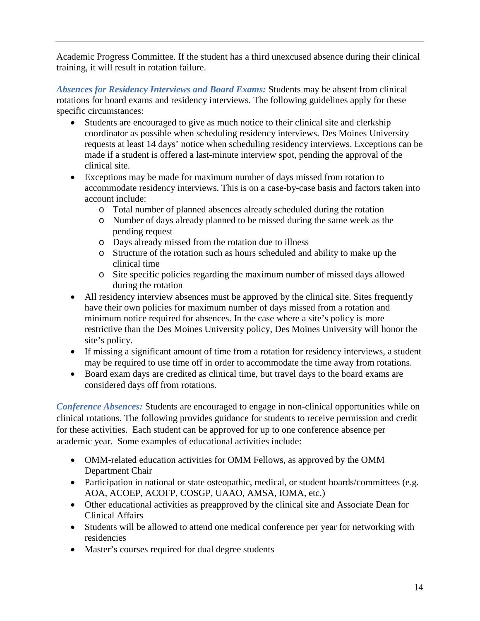Academic Progress Committee. If the student has a third unexcused absence during their clinical training, it will result in rotation failure.

*Absences for Residency Interviews and Board Exams:* Students may be absent from clinical rotations for board exams and residency interviews. The following guidelines apply for these specific circumstances:

- Students are encouraged to give as much notice to their clinical site and clerkship coordinator as possible when scheduling residency interviews. Des Moines University requests at least 14 days' notice when scheduling residency interviews. Exceptions can be made if a student is offered a last-minute interview spot, pending the approval of the clinical site.
- Exceptions may be made for maximum number of days missed from rotation to accommodate residency interviews. This is on a case-by-case basis and factors taken into account include:
	- o Total number of planned absences already scheduled during the rotation
	- o Number of days already planned to be missed during the same week as the pending request
	- o Days already missed from the rotation due to illness
	- o Structure of the rotation such as hours scheduled and ability to make up the clinical time
	- o Site specific policies regarding the maximum number of missed days allowed during the rotation
- All residency interview absences must be approved by the clinical site. Sites frequently have their own policies for maximum number of days missed from a rotation and minimum notice required for absences. In the case where a site's policy is more restrictive than the Des Moines University policy, Des Moines University will honor the site's policy.
- If missing a significant amount of time from a rotation for residency interviews, a student may be required to use time off in order to accommodate the time away from rotations.
- Board exam days are credited as clinical time, but travel days to the board exams are considered days off from rotations.

*Conference Absences:* Students are encouraged to engage in non-clinical opportunities while on clinical rotations. The following provides guidance for students to receive permission and credit for these activities. Each student can be approved for up to one conference absence per academic year. Some examples of educational activities include:

- OMM-related education activities for OMM Fellows, as approved by the OMM Department Chair
- Participation in national or state osteopathic, medical, or student boards/committees (e.g. AOA, ACOEP, ACOFP, COSGP, UAAO, AMSA, IOMA, etc.)
- Other educational activities as preapproved by the clinical site and Associate Dean for Clinical Affairs
- Students will be allowed to attend one medical conference per year for networking with residencies
- Master's courses required for dual degree students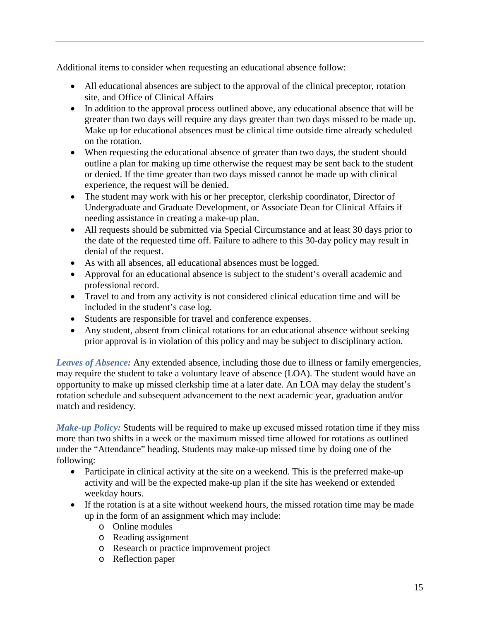Additional items to consider when requesting an educational absence follow:

- All educational absences are subject to the approval of the clinical preceptor, rotation site, and Office of Clinical Affairs
- In addition to the approval process outlined above, any educational absence that will be greater than two days will require any days greater than two days missed to be made up. Make up for educational absences must be clinical time outside time already scheduled on the rotation.
- When requesting the educational absence of greater than two days, the student should outline a plan for making up time otherwise the request may be sent back to the student or denied. If the time greater than two days missed cannot be made up with clinical experience, the request will be denied.
- The student may work with his or her preceptor, clerkship coordinator, Director of Undergraduate and Graduate Development, or Associate Dean for Clinical Affairs if needing assistance in creating a make-up plan.
- All requests should be submitted via Special Circumstance and at least 30 days prior to the date of the requested time off. Failure to adhere to this 30-day policy may result in denial of the request.
- As with all absences, all educational absences must be logged.
- Approval for an educational absence is subject to the student's overall academic and professional record.
- Travel to and from any activity is not considered clinical education time and will be included in the student's case log.
- Students are responsible for travel and conference expenses.
- Any student, absent from clinical rotations for an educational absence without seeking prior approval is in violation of this policy and may be subject to disciplinary action.

*Leaves of Absence:* Any extended absence, including those due to illness or family emergencies, may require the student to take a voluntary leave of absence (LOA). The student would have an opportunity to make up missed clerkship time at a later date. An LOA may delay the student's rotation schedule and subsequent advancement to the next academic year, graduation and/or match and residency.

*Make-up Policy:* Students will be required to make up excused missed rotation time if they miss more than two shifts in a week or the maximum missed time allowed for rotations as outlined under the "Attendance" heading. Students may make-up missed time by doing one of the following:

- Participate in clinical activity at the site on a weekend. This is the preferred make-up activity and will be the expected make-up plan if the site has weekend or extended weekday hours.
- If the rotation is at a site without weekend hours, the missed rotation time may be made up in the form of an assignment which may include:
	- o Online modules
	- o Reading assignment
	- o Research or practice improvement project
	- o Reflection paper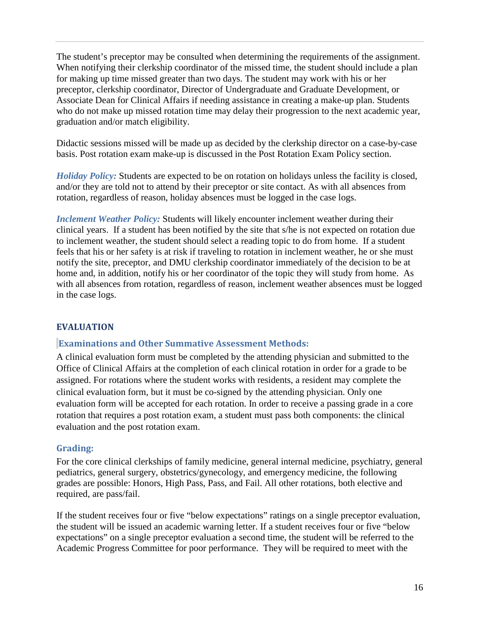The student's preceptor may be consulted when determining the requirements of the assignment. When notifying their clerkship coordinator of the missed time, the student should include a plan for making up time missed greater than two days. The student may work with his or her preceptor, clerkship coordinator, Director of Undergraduate and Graduate Development, or Associate Dean for Clinical Affairs if needing assistance in creating a make-up plan. Students who do not make up missed rotation time may delay their progression to the next academic year, graduation and/or match eligibility.

Didactic sessions missed will be made up as decided by the clerkship director on a case-by-case basis. Post rotation exam make-up is discussed in the Post Rotation Exam Policy section.

*Holiday Policy:* Students are expected to be on rotation on holidays unless the facility is closed, and/or they are told not to attend by their preceptor or site contact. As with all absences from rotation, regardless of reason, holiday absences must be logged in the case logs.

*Inclement Weather Policy:* Students will likely encounter inclement weather during their clinical years. If a student has been notified by the site that s/he is not expected on rotation due to inclement weather, the student should select a reading topic to do from home. If a student feels that his or her safety is at risk if traveling to rotation in inclement weather, he or she must notify the site, preceptor, and DMU clerkship coordinator immediately of the decision to be at home and, in addition, notify his or her coordinator of the topic they will study from home. As with all absences from rotation, regardless of reason, inclement weather absences must be logged in the case logs.

#### **EVALUATION**

#### **Examinations and Other Summative Assessment Methods:**

A clinical evaluation form must be completed by the attending physician and submitted to the Office of Clinical Affairs at the completion of each clinical rotation in order for a grade to be assigned. For rotations where the student works with residents, a resident may complete the clinical evaluation form, but it must be co-signed by the attending physician. Only one evaluation form will be accepted for each rotation. In order to receive a passing grade in a core rotation that requires a post rotation exam, a student must pass both components: the clinical evaluation and the post rotation exam.

#### **Grading:**

For the core clinical clerkships of family medicine, general internal medicine, psychiatry, general pediatrics, general surgery, obstetrics/gynecology, and emergency medicine, the following grades are possible: Honors, High Pass, Pass, and Fail. All other rotations, both elective and required, are pass/fail.

If the student receives four or five "below expectations" ratings on a single preceptor evaluation, the student will be issued an academic warning letter. If a student receives four or five "below expectations" on a single preceptor evaluation a second time, the student will be referred to the Academic Progress Committee for poor performance. They will be required to meet with the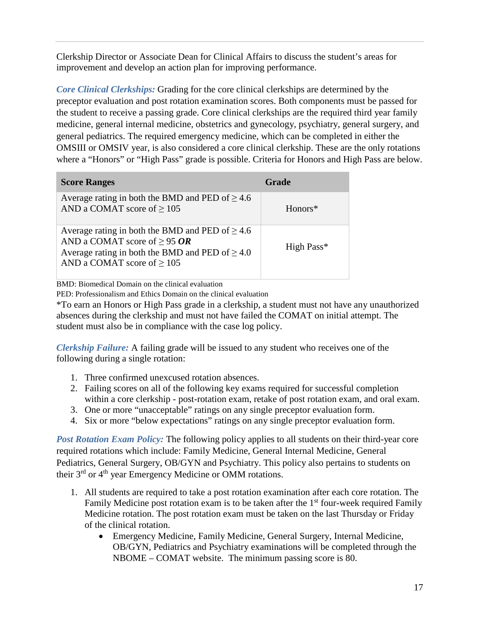Clerkship Director or Associate Dean for Clinical Affairs to discuss the student's areas for improvement and develop an action plan for improving performance.

*Core Clinical Clerkships:* Grading for the core clinical clerkships are determined by the preceptor evaluation and post rotation examination scores. Both components must be passed for the student to receive a passing grade. Core clinical clerkships are the required third year family medicine, general internal medicine, obstetrics and gynecology, psychiatry, general surgery, and general pediatrics. The required emergency medicine, which can be completed in either the OMSIII or OMSIV year, is also considered a core clinical clerkship. These are the only rotations where a "Honors" or "High Pass" grade is possible. Criteria for Honors and High Pass are below.

| <b>Score Ranges</b>                                                                                                                                                                  | Grade      |
|--------------------------------------------------------------------------------------------------------------------------------------------------------------------------------------|------------|
| Average rating in both the BMD and PED of $\geq 4.6$<br>AND a COMAT score of $\geq$ 105                                                                                              | $Honors*$  |
| Average rating in both the BMD and PED of $\geq 4.6$<br>AND a COMAT score of $\geq$ 95 OR<br>Average rating in both the BMD and PED of $\geq 4.0$<br>AND a COMAT score of $\geq$ 105 | High Pass* |

BMD: Biomedical Domain on the clinical evaluation

PED: Professionalism and Ethics Domain on the clinical evaluation

\*To earn an Honors or High Pass grade in a clerkship, a student must not have any unauthorized absences during the clerkship and must not have failed the COMAT on initial attempt. The student must also be in compliance with the case log policy.

*Clerkship Failure:* A failing grade will be issued to any student who receives one of the following during a single rotation:

- 1. Three confirmed unexcused rotation absences.
- 2. Failing scores on all of the following key exams required for successful completion within a core clerkship - post-rotation exam, retake of post rotation exam, and oral exam.
- 3. One or more "unacceptable" ratings on any single preceptor evaluation form.
- 4. Six or more "below expectations" ratings on any single preceptor evaluation form.

*Post Rotation Exam Policy:* The following policy applies to all students on their third-year core required rotations which include: Family Medicine, General Internal Medicine, General Pediatrics, General Surgery, OB/GYN and Psychiatry. This policy also pertains to students on their 3<sup>rd</sup> or 4<sup>th</sup> year Emergency Medicine or OMM rotations.

- 1. All students are required to take a post rotation examination after each core rotation. The Family Medicine post rotation exam is to be taken after the  $1<sup>st</sup>$  four-week required Family Medicine rotation. The post rotation exam must be taken on the last Thursday or Friday of the clinical rotation.
	- Emergency Medicine, Family Medicine, General Surgery, Internal Medicine, OB/GYN, Pediatrics and Psychiatry examinations will be completed through the NBOME – COMAT website. The minimum passing score is 80.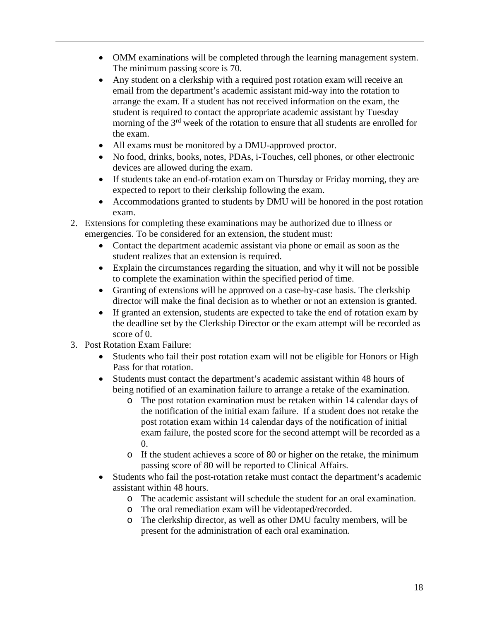- OMM examinations will be completed through the learning management system. The minimum passing score is 70.
- Any student on a clerkship with a required post rotation exam will receive an email from the department's academic assistant mid-way into the rotation to arrange the exam. If a student has not received information on the exam, the student is required to contact the appropriate academic assistant by Tuesday morning of the 3<sup>rd</sup> week of the rotation to ensure that all students are enrolled for the exam.
- All exams must be monitored by a DMU-approved proctor.
- No food, drinks, books, notes, PDAs, i-Touches, cell phones, or other electronic devices are allowed during the exam.
- If students take an end-of-rotation exam on Thursday or Friday morning, they are expected to report to their clerkship following the exam.
- Accommodations granted to students by DMU will be honored in the post rotation exam.
- 2. Extensions for completing these examinations may be authorized due to illness or emergencies. To be considered for an extension, the student must:
	- Contact the department academic assistant via phone or email as soon as the student realizes that an extension is required.
	- Explain the circumstances regarding the situation, and why it will not be possible to complete the examination within the specified period of time.
	- Granting of extensions will be approved on a case-by-case basis. The clerkship director will make the final decision as to whether or not an extension is granted.
	- If granted an extension, students are expected to take the end of rotation exam by the deadline set by the Clerkship Director or the exam attempt will be recorded as score of 0.
- 3. Post Rotation Exam Failure:
	- Students who fail their post rotation exam will not be eligible for Honors or High Pass for that rotation.
	- Students must contact the department's academic assistant within 48 hours of being notified of an examination failure to arrange a retake of the examination.
		- o The post rotation examination must be retaken within 14 calendar days of the notification of the initial exam failure. If a student does not retake the post rotation exam within 14 calendar days of the notification of initial exam failure, the posted score for the second attempt will be recorded as a 0.
		- o If the student achieves a score of 80 or higher on the retake, the minimum passing score of 80 will be reported to Clinical Affairs.
	- Students who fail the post-rotation retake must contact the department's academic assistant within 48 hours.
		- o The academic assistant will schedule the student for an oral examination.
		- The oral remediation exam will be videotaped/recorded.
		- o The clerkship director, as well as other DMU faculty members, will be present for the administration of each oral examination.